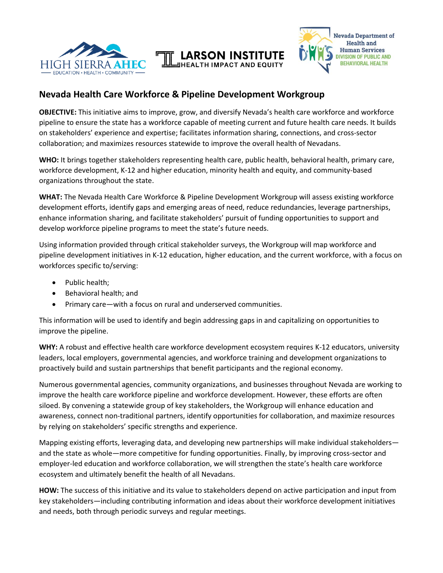



## **Nevada Health Care Workforce & Pipeline Development Workgroup**

**OBJECTIVE:** This initiative aims to improve, grow, and diversify Nevada's health care workforce and workforce pipeline to ensure the state has a workforce capable of meeting current and future health care needs. It builds on stakeholders' experience and expertise; facilitates information sharing, connections, and cross-sector collaboration; and maximizes resources statewide to improve the overall health of Nevadans.

**JHEALTH IMPACT AND EQUITY** 

**WHO:** It brings together stakeholders representing health care, public health, behavioral health, primary care, workforce development, K-12 and higher education, minority health and equity, and community-based organizations throughout the state.

**WHAT:** The Nevada Health Care Workforce & Pipeline Development Workgroup will assess existing workforce development efforts, identify gaps and emerging areas of need, reduce redundancies, leverage partnerships, enhance information sharing, and facilitate stakeholders' pursuit of funding opportunities to support and develop workforce pipeline programs to meet the state's future needs.

Using information provided through critical stakeholder surveys, the Workgroup will map workforce and pipeline development initiatives in K-12 education, higher education, and the current workforce, with a focus on workforces specific to/serving:

- Public health;
- Behavioral health; and
- Primary care—with a focus on rural and underserved communities.

This information will be used to identify and begin addressing gaps in and capitalizing on opportunities to improve the pipeline.

**WHY:** A robust and effective health care workforce development ecosystem requires K-12 educators, university leaders, local employers, governmental agencies, and workforce training and development organizations to proactively build and sustain partnerships that benefit participants and the regional economy.

Numerous governmental agencies, community organizations, and businesses throughout Nevada are working to improve the health care workforce pipeline and workforce development. However, these efforts are often siloed. By convening a statewide group of key stakeholders, the Workgroup will enhance education and awareness, connect non-traditional partners, identify opportunities for collaboration, and maximize resources by relying on stakeholders' specific strengths and experience.

Mapping existing efforts, leveraging data, and developing new partnerships will make individual stakeholders and the state as whole—more competitive for funding opportunities. Finally, by improving cross-sector and employer-led education and workforce collaboration, we will strengthen the state's health care workforce ecosystem and ultimately benefit the health of all Nevadans.

**HOW:** The success of this initiative and its value to stakeholders depend on active participation and input from key stakeholders—including contributing information and ideas about their workforce development initiatives and needs, both through periodic surveys and regular meetings.